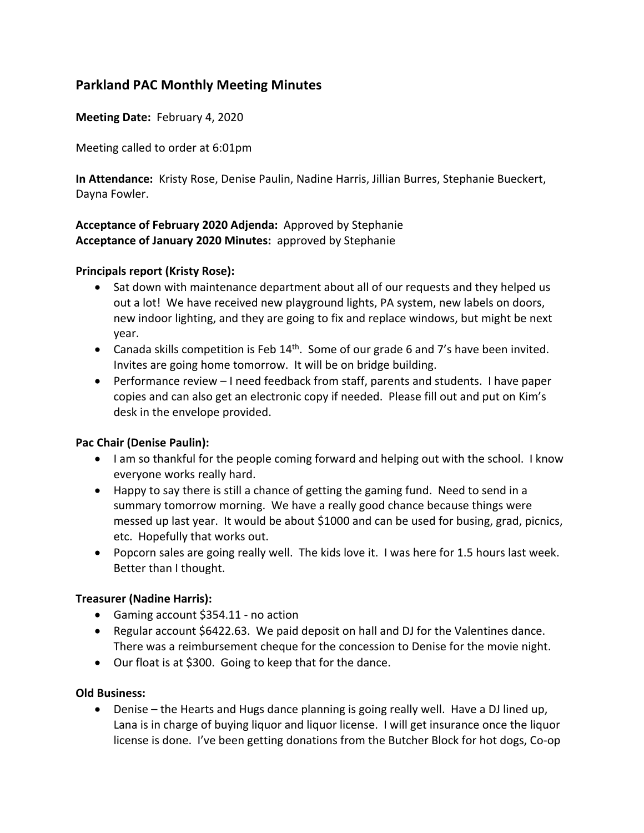# **Parkland PAC Monthly Meeting Minutes**

**Meeting Date:** February 4, 2020

Meeting called to order at 6:01pm

**In Attendance:** Kristy Rose, Denise Paulin, Nadine Harris, Jillian Burres, Stephanie Bueckert, Dayna Fowler.

# **Acceptance of February 2020 Adjenda:** Approved by Stephanie **Acceptance of January 2020 Minutes:** approved by Stephanie

#### **Principals report (Kristy Rose):**

- Sat down with maintenance department about all of our requests and they helped us out a lot! We have received new playground lights, PA system, new labels on doors, new indoor lighting, and they are going to fix and replace windows, but might be next year.
- Canada skills competition is Feb  $14<sup>th</sup>$ . Some of our grade 6 and 7's have been invited. Invites are going home tomorrow. It will be on bridge building.
- Performance review I need feedback from staff, parents and students. I have paper copies and can also get an electronic copy if needed. Please fill out and put on Kim's desk in the envelope provided.

# **Pac Chair (Denise Paulin):**

- I am so thankful for the people coming forward and helping out with the school. I know everyone works really hard.
- Happy to say there is still a chance of getting the gaming fund. Need to send in a summary tomorrow morning. We have a really good chance because things were messed up last year. It would be about \$1000 and can be used for busing, grad, picnics, etc. Hopefully that works out.
- Popcorn sales are going really well. The kids love it. I was here for 1.5 hours last week. Better than I thought.

# **Treasurer (Nadine Harris):**

- Gaming account \$354.11 no action
- Regular account \$6422.63. We paid deposit on hall and DJ for the Valentines dance. There was a reimbursement cheque for the concession to Denise for the movie night.
- Our float is at \$300. Going to keep that for the dance.

#### **Old Business:**

• Denise – the Hearts and Hugs dance planning is going really well. Have a DJ lined up, Lana is in charge of buying liquor and liquor license. I will get insurance once the liquor license is done. I've been getting donations from the Butcher Block for hot dogs, Co-op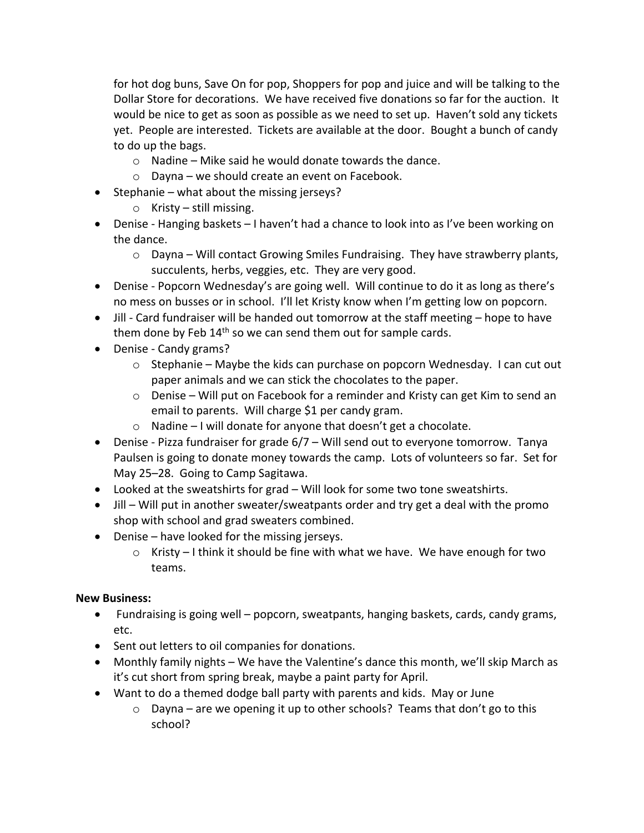for hot dog buns, Save On for pop, Shoppers for pop and juice and will be talking to the Dollar Store for decorations. We have received five donations so far for the auction. It would be nice to get as soon as possible as we need to set up. Haven't sold any tickets yet. People are interested. Tickets are available at the door. Bought a bunch of candy to do up the bags.

- o Nadine Mike said he would donate towards the dance.
- o Dayna we should create an event on Facebook.
- Stephanie what about the missing jerseys?
	- $\circ$  Kristy still missing.
- Denise Hanging baskets I haven't had a chance to look into as I've been working on the dance.
	- $\circ$  Dayna Will contact Growing Smiles Fundraising. They have strawberry plants, succulents, herbs, veggies, etc. They are very good.
- Denise Popcorn Wednesday's are going well. Will continue to do it as long as there's no mess on busses or in school. I'll let Kristy know when I'm getting low on popcorn.
- Jill Card fundraiser will be handed out tomorrow at the staff meeting hope to have them done by Feb  $14<sup>th</sup>$  so we can send them out for sample cards.
- Denise Candy grams?
	- o Stephanie Maybe the kids can purchase on popcorn Wednesday. I can cut out paper animals and we can stick the chocolates to the paper.
	- $\circ$  Denise Will put on Facebook for a reminder and Kristy can get Kim to send an email to parents. Will charge \$1 per candy gram.
	- o Nadine I will donate for anyone that doesn't get a chocolate.
- Denise Pizza fundraiser for grade 6/7 Will send out to everyone tomorrow. Tanya Paulsen is going to donate money towards the camp. Lots of volunteers so far. Set for May 25–28. Going to Camp Sagitawa.
- Looked at the sweatshirts for grad Will look for some two tone sweatshirts.
- Jill Will put in another sweater/sweatpants order and try get a deal with the promo shop with school and grad sweaters combined.
- Denise have looked for the missing jerseys.
	- $\circ$  Kristy I think it should be fine with what we have. We have enough for two teams.

# **New Business:**

- Fundraising is going well popcorn, sweatpants, hanging baskets, cards, candy grams, etc.
- Sent out letters to oil companies for donations.
- Monthly family nights We have the Valentine's dance this month, we'll skip March as it's cut short from spring break, maybe a paint party for April.
- Want to do a themed dodge ball party with parents and kids. May or June
	- $\circ$  Dayna are we opening it up to other schools? Teams that don't go to this school?